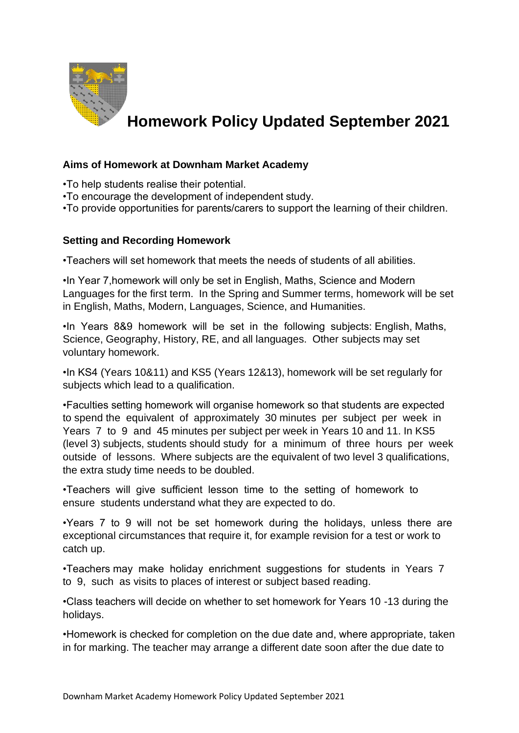

# **Homework Policy Updated September 2021**

### **Aims of Homework at Downham Market Academy**

•To help students realise their potential.

- •To encourage the development of independent study.
- •To provide opportunities for parents/carers to support the learning of their children.

### **Setting and Recording Homework**

•Teachers will set homework that meets the needs of students of all abilities.

•In Year 7,homework will only be set in English, Maths, Science and Modern Languages for the first term. In the Spring and Summer terms, homework will be set in English, Maths, Modern, Languages, Science, and Humanities.

•In Years 8&9 homework will be set in the following subjects: English, Maths, Science, Geography, History, RE, and all languages. Other subjects may set voluntary homework.

•In KS4 (Years 10&11) and KS5 (Years 12&13), homework will be set regularly for subjects which lead to a qualification.

•Faculties setting homework will organise homework so that students are expected to spend the equivalent of approximately 30 minutes per subject per week in Years 7 to 9 and 45 minutes per subject per week in Years 10 and 11. In KS5 (level 3) subjects, students should study for a minimum of three hours per week outside of lessons. Where subjects are the equivalent of two level 3 qualifications, the extra study time needs to be doubled.

•Teachers will give sufficient lesson time to the setting of homework to ensure students understand what they are expected to do.

•Years 7 to 9 will not be set homework during the holidays, unless there are exceptional circumstances that require it, for example revision for a test or work to catch up.

•Teachers may make holiday enrichment suggestions for students in Years 7 to 9, such as visits to places of interest or subject based reading.

•Class teachers will decide on whether to set homework for Years 10 -13 during the holidays.

•Homework is checked for completion on the due date and, where appropriate, taken in for marking. The teacher may arrange a different date soon after the due date to